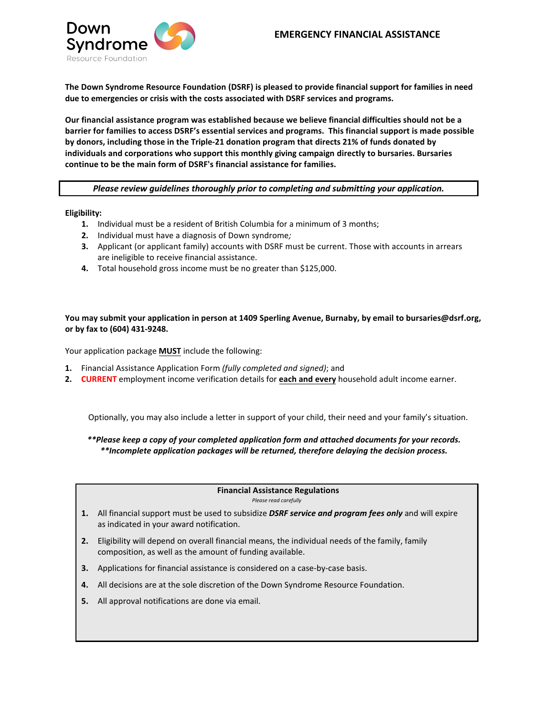

**The Down Syndrome Resource Foundation (DSRF) is pleased to provide financial support for families in need due to emergencies or crisis with the costs associated with DSRF services and programs.** 

**Our financial assistance program was established because we believe financial difficulties should not be a barrier for families to access DSRF's essential services and programs. This financial support is made possible by donors, including those in the Triple-21 donation program that directs 21% of funds donated by individuals and corporations who support this monthly giving campaign directly to bursaries. Bursaries continue to be the main form of DSRF's financial assistance for families.** 

*Please review guidelines thoroughly prior to completing and submitting your application.* 

**Eligibility:** 

- **1.** Individual must be a resident of British Columbia for a minimum of 3 months;
- **2.** Individual must have a diagnosis of Down syndrome*;*
- **3.** Applicant (or applicant family) accounts with DSRF must be current. Those with accounts in arrears are ineligible to receive financial assistance.
- **4.** Total household gross income must be no greater than \$125,000.

#### **You may submit your application in person at 1409 Sperling Avenue, Burnaby, by email to bursaries@dsrf.org, or by fax to (604) 431-9248.**

Your application package **MUST** include the following:

- **1.** Financial Assistance Application Form *(fully completed and signed)*; and
- **2. CURRENT** employment income verification details for **each and every** household adult income earner.

Optionally, you may also include a letter in support of your child, their need and your family's situation.

### *\*\*Please keep a copy of your completed application form and attached documents for your records. \*\*Incomplete application packages will be returned, therefore delaying the decision process.*

#### **Financial Assistance Regulations**

*Please read carefully*

- **1.** All financial support must be used to subsidize *DSRF service and program fees only* and will expire as indicated in your award notification.
- **2.** Eligibility will depend on overall financial means, the individual needs of the family, family composition, as well as the amount of funding available.
- **3.** Applications for financial assistance is considered on a case-by-case basis.
- **4.** All decisions are at the sole discretion of the Down Syndrome Resource Foundation.
- **5.** All approval notifications are done via email.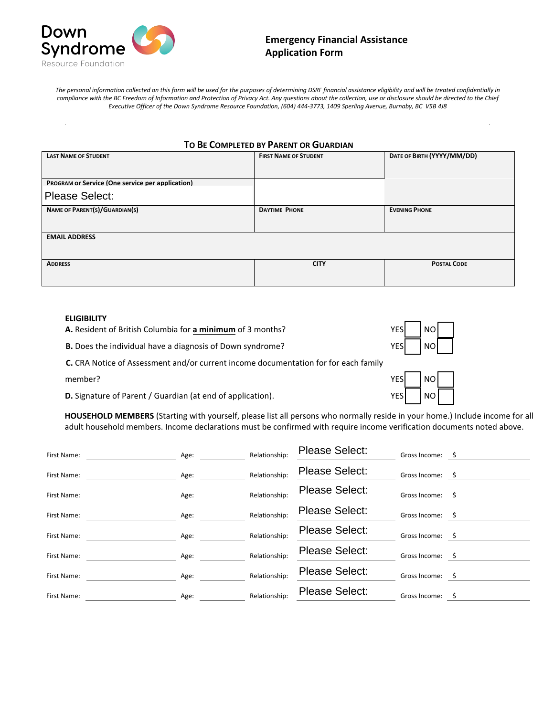

*The personal information collected on this form will be used for the purposes of determining DSRF financial assistance eligibility and will be treated confidentially in compliance with the BC Freedom of Information and Protection of Privacy Act. Any questions about the collection, use or disclosure should be directed to the Chief Executive Officer of the Down Syndrome Resource Foundation, (604) 444-3773, 1409 Sperling Avenue, Burnaby, BC V5B 4J8*

| TO BE COMPLETED BY PARENT OR GUARDIAN                   |                              |                            |  |  |
|---------------------------------------------------------|------------------------------|----------------------------|--|--|
| <b>LAST NAME OF STUDENT</b>                             | <b>FIRST NAME OF STUDENT</b> | DATE OF BIRTH (YYYY/MM/DD) |  |  |
|                                                         |                              |                            |  |  |
| <b>PROGRAM OF Service (One service per application)</b> |                              |                            |  |  |
| <b>Please Select:</b>                                   |                              |                            |  |  |
| NAME OF PARENT(S)/GUARDIAN(S)                           | <b>DAYTIME PHONE</b>         | <b>EVENING PHONE</b>       |  |  |
|                                                         |                              |                            |  |  |
| <b>EMAIL ADDRESS</b>                                    |                              |                            |  |  |
|                                                         |                              |                            |  |  |
| <b>ADDRESS</b>                                          | <b>CITY</b>                  | <b>POSTAL CODE</b>         |  |  |
|                                                         |                              |                            |  |  |

#### **ELIGIBILITY**

**A.** Resident of British Columbia for **a minimum** of 3 months?

**B.** Does the individual have a diagnosis of Down syndrome?

**C.** CRA Notice of Assessment and/or current income documentation for for each family

|  | member? |  |
|--|---------|--|
|  |         |  |

**D.** Signature of Parent / Guardian (at end of application). The MES

| YES  | NO |  |
|------|----|--|
| YESl | NO |  |

 $NO<sub>2</sub>$ 

**HOUSEHOLD MEMBERS** (Starting with yourself, please list all persons who normally reside in your home.) Include income for all adult household members. Income declarations must be confirmed with require income verification documents noted above.

| First Name: | Age: | Relationship: | <b>Please Select:</b> | Gross Income: \$ |     |
|-------------|------|---------------|-----------------------|------------------|-----|
| First Name: | Age: | Relationship: | <b>Please Select:</b> | Gross Income: \$ |     |
| First Name: | Age: | Relationship: | Please Select:        | Gross Income: \$ |     |
| First Name: | Age: | Relationship: | Please Select:        | Gross Income: \$ |     |
| First Name: | Age: | Relationship: | Please Select:        | Gross Income: \$ |     |
| First Name: | Age: | Relationship: | <b>Please Select:</b> | Gross Income:    | - S |
| First Name: | Age: | Relationship: | <b>Please Select:</b> | Gross Income:    | - S |
| First Name: | Age: | Relationship: | <b>Please Select:</b> | Gross Income:    |     |
|             |      |               |                       |                  |     |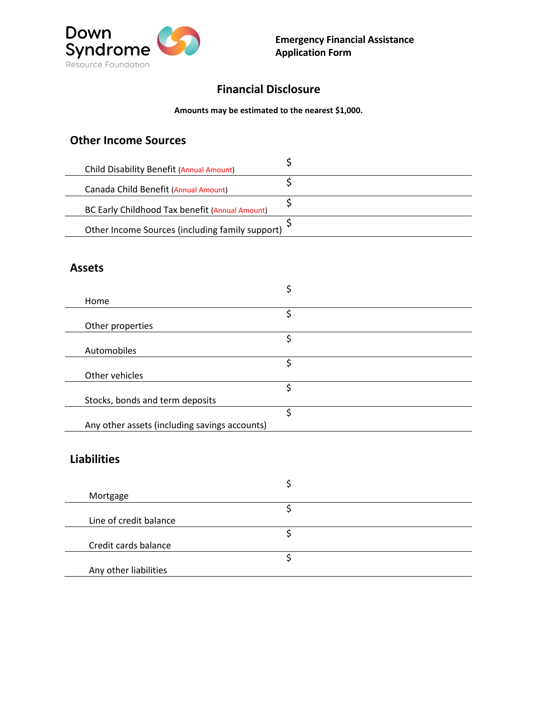

# **Financial Disclosure**

### **Amounts may be estimated to the nearest \$1,000.**

# **Other Income Sources**

| Child Disability Benefit (Annual Amount)        |  |
|-------------------------------------------------|--|
| Canada Child Benefit (Annual Amount)            |  |
| BC Early Childhood Tax benefit (Annual Amount)  |  |
| Other Income Sources (including family support) |  |

### **Assets**

| Home                                          |   |
|-----------------------------------------------|---|
|                                               | Ć |
| Other properties                              |   |
|                                               | c |
| Automobiles                                   |   |
|                                               |   |
| Other vehicles                                |   |
|                                               | c |
| Stocks, bonds and term deposits               |   |
|                                               |   |
| Any other assets (including savings accounts) |   |

# **Liabilities**

| Mortgage               |  |
|------------------------|--|
|                        |  |
| Line of credit balance |  |
|                        |  |
| Credit cards balance   |  |
|                        |  |
| Any other liabilities  |  |